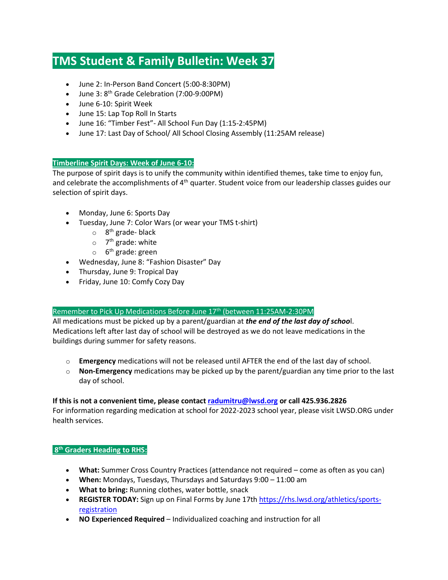# **TMS Student & Family Bulletin: Week 37**

- June 2: In-Person Band Concert (5:00-8:30PM)
- June 3:  $8^{th}$  Grade Celebration (7:00-9:00PM)
- June 6-10: Spirit Week
- June 15: Lap Top Roll In Starts
- June 16: "Timber Fest"- All School Fun Day (1:15-2:45PM)
- June 17: Last Day of School/ All School Closing Assembly (11:25AM release)

# **Timberline Spirit Days: Week of June 6-10:**

The purpose of spirit days is to unify the community within identified themes, take time to enjoy fun, and celebrate the accomplishments of 4<sup>th</sup> quarter. Student voice from our leadership classes guides our selection of spirit days.

- Monday, June 6: Sports Day
- Tuesday, June 7: Color Wars (or wear your TMS t-shirt)
	- $\circ$  8<sup>th</sup> grade- black
	- $\circ$  7<sup>th</sup> grade: white
	- $\circ$  6<sup>th</sup> grade: green
- Wednesday, June 8: "Fashion Disaster" Day
- Thursday, June 9: Tropical Day
- Friday, June 10: Comfy Cozy Day

# Remember to Pick Up Medications Before June 17<sup>th</sup> (between 11:25AM-2:30PM

All medications must be picked up by a parent/guardian at *the end of the last day of schoo*l. Medications left after last day of school will be destroyed as we do not leave medications in the buildings during summer for safety reasons.

- o **Emergency** medications will not be released until AFTER the end of the last day of school.
- o **Non-Emergency** medications may be picked up by the parent/guardian any time prior to the last day of school.

### **If this is not a convenient time, please contact [radumitru@lwsd.org](mailto:radumitru@lwsd.org) or call 425.936.2826**

For information regarding medication at school for 2022-2023 school year, please visit LWSD.ORG under health services.

# **8th Graders Heading to RHS:**

- **What:** Summer Cross Country Practices (attendance not required come as often as you can)
- **When:** Mondays, Tuesdays, Thursdays and Saturdays 9:00 11:00 am
- **What to bring:** Running clothes, water bottle, snack
- **REGISTER TODAY:** Sign up on Final Forms by June 17th [https://rhs.lwsd.org/athletics/sports](https://nam02.safelinks.protection.outlook.com/?url=https%3A%2F%2Frhs.lwsd.org%2Fathletics%2Fsports-registration&data=05%7C01%7Cmhenderlight%40lwsd.org%7Cd0257e0a09984207cabf08da4407b99f%7C1fd4673fdf9646218638a1d88c4c85d7%7C0%7C0%7C637897097230947989%7CUnknown%7CTWFpbGZsb3d8eyJWIjoiMC4wLjAwMDAiLCJQIjoiV2luMzIiLCJBTiI6Ik1haWwiLCJXVCI6Mn0%3D%7C3000%7C%7C%7C&sdata=7luT6nN4UXGdE%2FAgpOsBTlht2ljqmbRDguxxon%2Bqeic%3D&reserved=0)[registration](https://nam02.safelinks.protection.outlook.com/?url=https%3A%2F%2Frhs.lwsd.org%2Fathletics%2Fsports-registration&data=05%7C01%7Cmhenderlight%40lwsd.org%7Cd0257e0a09984207cabf08da4407b99f%7C1fd4673fdf9646218638a1d88c4c85d7%7C0%7C0%7C637897097230947989%7CUnknown%7CTWFpbGZsb3d8eyJWIjoiMC4wLjAwMDAiLCJQIjoiV2luMzIiLCJBTiI6Ik1haWwiLCJXVCI6Mn0%3D%7C3000%7C%7C%7C&sdata=7luT6nN4UXGdE%2FAgpOsBTlht2ljqmbRDguxxon%2Bqeic%3D&reserved=0)
- **NO Experienced Required** Individualized coaching and instruction for all